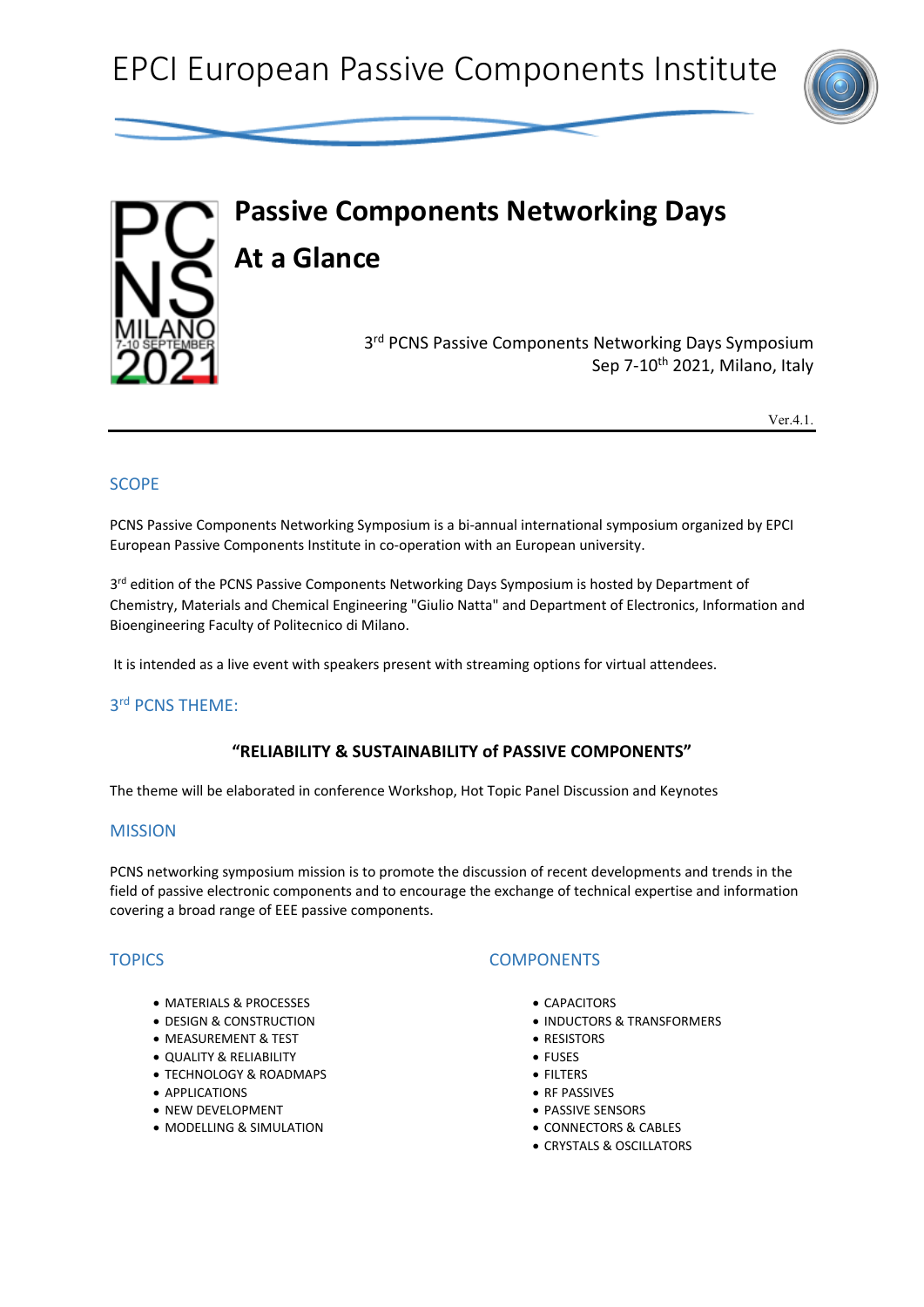



# **Passive Components Networking Days At a Glance** 3<sup>rd</sup> PCNS Passive Components Networking Days Symposium Sep 7-10<sup>th</sup> 2021, Milano, Italy

Ver.4.1.

# **SCOPE**

PCNS Passive Components Networking Symposium is a bi-annual international symposium organized by EPCI European Passive Components Institute in co-operation with an European university.

3rd edition of the PCNS Passive Components Networking Days Symposium is hosted by Department of Chemistry, Materials and Chemical Engineering "Giulio Natta" and Department of Electronics, Information and Bioengineering Faculty of Politecnico di Milano.

It is intended as a live event with speakers present with streaming options for virtual attendees.

# 3rd PCNS THEME:

#### **"RELIABILITY & SUSTAINABILITY of PASSIVE COMPONENTS"**

The theme will be elaborated in conference Workshop, Hot Topic Panel Discussion and Keynotes

#### MISSION

PCNS networking symposium mission is to promote the discussion of recent developments and trends in the field of passive electronic components and to encourage the exchange of technical expertise and information covering a broad range of EEE passive components.

#### **TOPICS**

- MATERIALS & PROCESSES
- DESIGN & CONSTRUCTION
- MEASUREMENT & TEST
- QUALITY & RELIABILITY
- TECHNOLOGY & ROADMAPS
- APPLICATIONS
- NEW DEVELOPMENT
- MODELLING & SIMULATION

#### **COMPONENTS**

- CAPACITORS
- INDUCTORS & TRANSFORMERS
- RESISTORS
- FUSES
- FILTERS
- RF PASSIVES
- PASSIVE SENSORS
- CONNECTORS & CABLES
- CRYSTALS & OSCILLATORS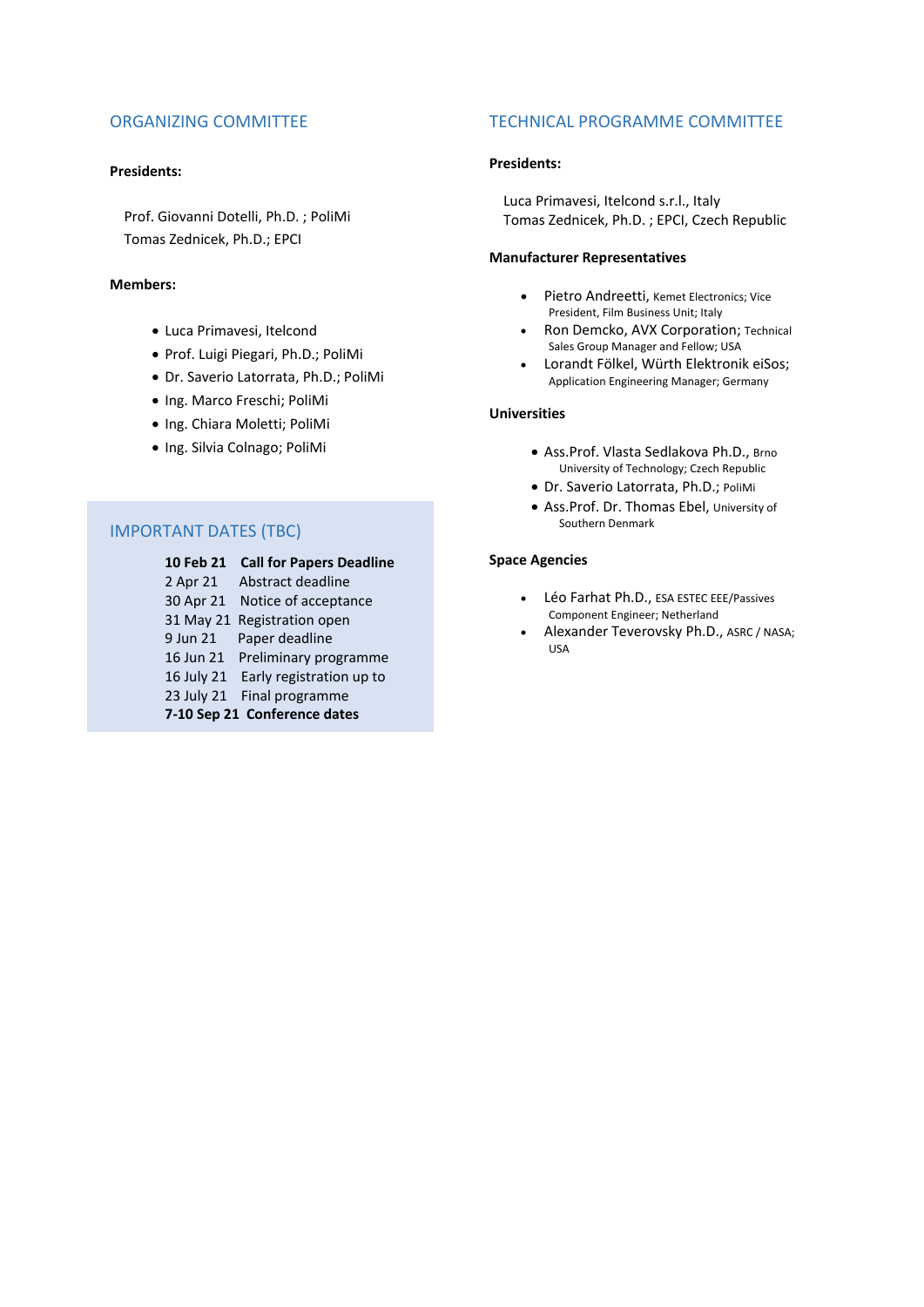#### ORGANIZING COMMITTEE

#### **Presidents:**

 Prof. Giovanni Dotelli, Ph.D. ; PoliMi Tomas Zednicek, Ph.D.; EPCI

#### **Members:**

- Luca Primavesi, Itelcond
- Prof. Luigi Piegari, Ph.D.; PoliMi
- Dr. Saverio Latorrata, Ph.D.; PoliMi
- Ing. Marco Freschi; PoliMi
- Ing. Chiara Moletti; PoliMi
- Ing. Silvia Colnago; PoliMi

# IMPORTANT DATES (TBC)

#### **10 Feb 21 Call for Papers Deadline**

2 Apr 21 Abstract deadline 30 Apr 21 Notice of acceptance 31 May 21 Registration open 9 Jun 21 Paper deadline 16 Jun 21 Preliminary programme 16 July 21 Early registration up to 23 July 21 Final programme **7-10 Sep 21 Conference dates**

#### TECHNICAL PROGRAMME COMMITTEE

#### **Presidents:**

 Luca Primavesi, Itelcond s.r.l., Italy Tomas Zednicek, Ph.D. ; EPCI, Czech Republic

#### **Manufacturer Representatives**

- Pietro Andreetti, Kemet Electronics; Vice President, Film Business Unit; Italy
- Ron Demcko, AVX Corporation; Technical Sales Group Manager and Fellow; USA
- Lorandt Fölkel, Würth Elektronik eiSos; Application Engineering Manager; Germany

#### **Universities**

- Ass.Prof. Vlasta Sedlakova Ph.D., Brno University of Technology; Czech Republic
- Dr. Saverio Latorrata, Ph.D.; PoliMi
- Ass.Prof. Dr. Thomas Ebel, University of Southern Denmark

#### **Space Agencies**

- Léo Farhat Ph.D., ESA ESTEC EEE/Passives Component Engineer; Netherland
- Alexander Teverovsky Ph.D., ASRC / NASA; USA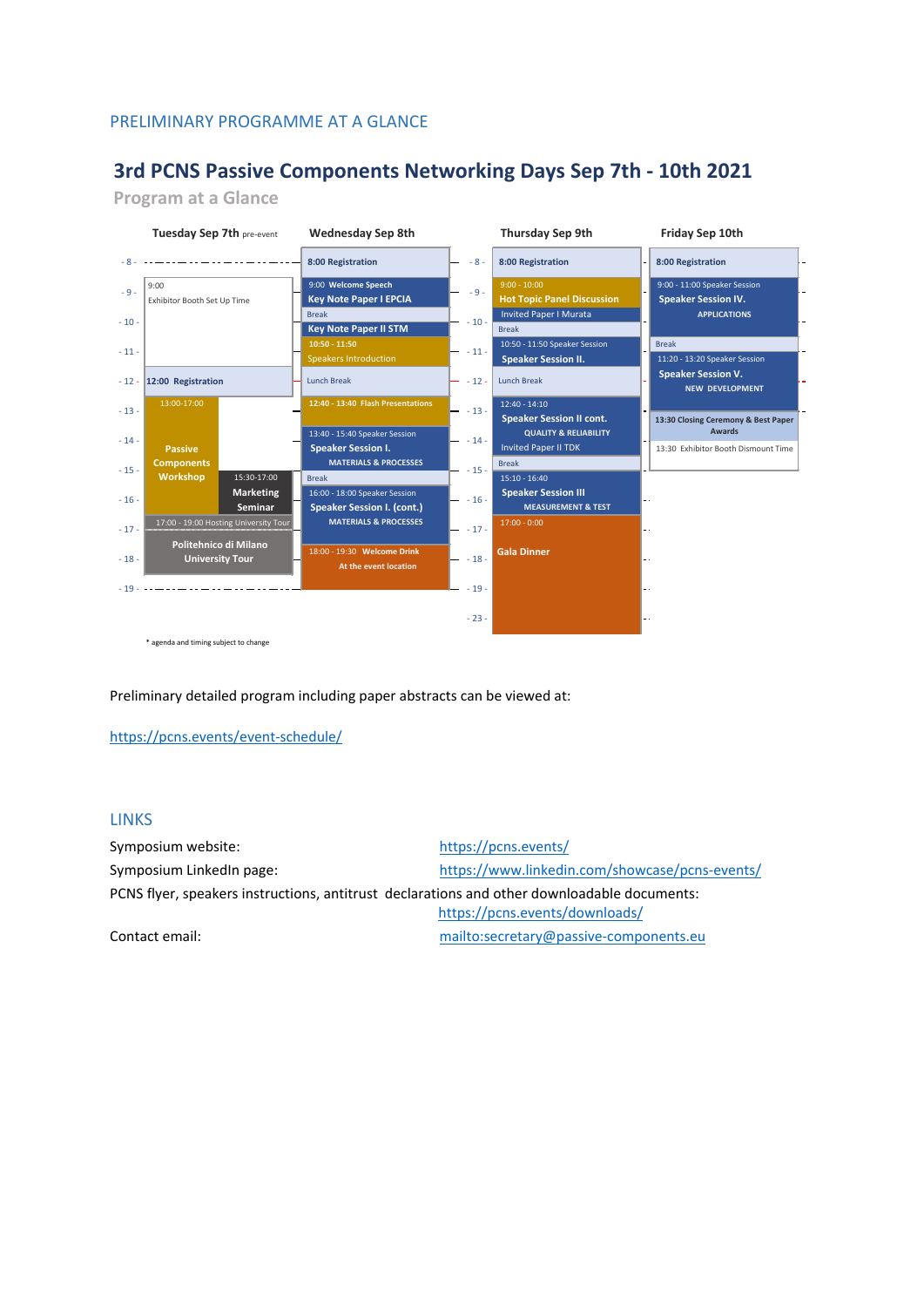### PRELIMINARY PROGRAMME AT A GLANCE

# **3rd PCNS Passive Components Networking Days Sep 7th - 10th 2021**

**Program at a Glance**



Preliminary detailed program including paper abstracts can be viewed at:

<https://pcns.events/event-schedule/>

#### LINKS

| Symposium website:                                                                          | https://pcns.events/                           |  |  |
|---------------------------------------------------------------------------------------------|------------------------------------------------|--|--|
| Symposium LinkedIn page:                                                                    | https://www.linkedin.com/showcase/pcns-events/ |  |  |
| PCNS flyer, speakers instructions, antitrust declarations and other downloadable documents: |                                                |  |  |
|                                                                                             | https://pcns.events/downloads/                 |  |  |
| Contact amail:                                                                              | mailtousessatary@nassive_sempenents_eu         |  |  |

Contact email: <mailto:secretary@passive-components.eu>